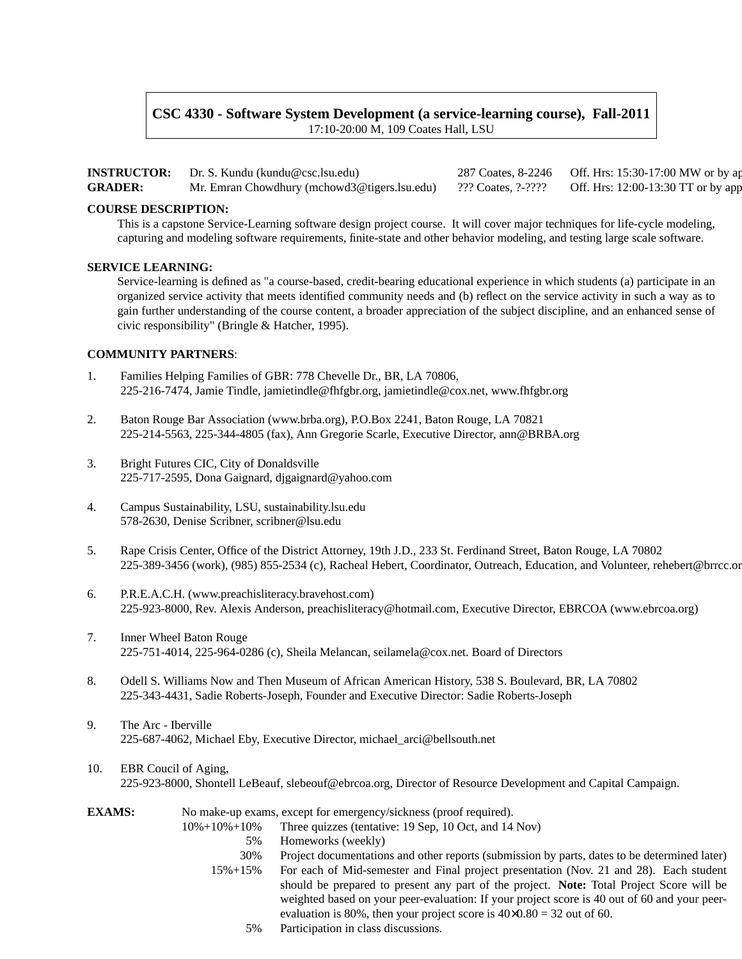# **CSC 4330 - Software System Development (a service-learning course), Fall-2011** 17:10-20:00 M, 109 Coates Hall, LSU

|                | <b>INSTRUCTOR:</b> Dr. S. Kundu (kundu@csc.lsu.edu)             | 287 Coates, 8-2246 Off. Hrs: 15:30-17:00 MW or by a |
|----------------|-----------------------------------------------------------------|-----------------------------------------------------|
| <b>GRADER:</b> | Mr. Emran Chowdhury (mchowd3@tigers.lsu.edu) ??? Coates, ?-???? | Off. Hrs: 12:00-13:30 TT or by app                  |

# **COURSE DESCRIPTION:**

This is a capstone Service-Learning software design project course. It will cover major techniques for life-cycle modeling, capturing and modeling software requirements, finite-state and other behavior modeling, and testing large scale software.

# **SERVICE LEARNING:**

Service-learning is defined as "a course-based, credit-bearing educational experience in which students (a) participate in an organized service activity that meets identified community needs and (b) reflect on the service activity in such a way as to gain further understanding of the course content, a broader appreciation of the subject discipline, and an enhanced sense of civic responsibility" (Bringle & Hatcher, 1995).

# **COMMUNITY PARTNERS**:

- 1. Families Helping Families of GBR: 778 Chevelle Dr., BR, LA 70806, 225-216-7474, Jamie Tindle, jamietindle@fhfgbr.org, jamietindle@cox.net, www.fhfgbr.org
- 2. Baton Rouge Bar Association (www.brba.org), P.O.Box 2241, Baton Rouge, LA 70821 225-214-5563, 225-344-4805 (fax), Ann Gregorie Scarle, Executive Director, ann@BRBA.org
- 3. Bright Futures CIC, City of Donaldsville 225-717-2595, Dona Gaignard, djgaignard@yahoo.com
- 4. Campus Sustainability, LSU, sustainability.lsu.edu 578-2630, Denise Scribner, scribner@lsu.edu
- 5. Rape Crisis Center, Office of the District Attorney, 19th J.D., 233 St. Ferdinand Street, Baton Rouge, LA 70802 225-389-3456 (work), (985) 855-2534 (c), Racheal Hebert, Coordinator, Outreach, Education, and Volunteer, rehebert@brrcc.org
- 6. P.R.E.A.C.H. (www.preachisliteracy.bravehost.com) 225-923-8000, Rev. Alexis Anderson, preachisliteracy@hotmail.com, Executive Director, EBRCOA (www.ebrcoa.org)
- 7. Inner Wheel Baton Rouge 225-751-4014, 225-964-0286 (c), Sheila Melancan, seilamela@cox.net. Board of Directors
- 8. Odell S. Williams Now and Then Museum of African American History, 538 S. Boulevard, BR, LA 70802 225-343-4431, Sadie Roberts-Joseph, Founder and Executive Director: Sadie Roberts-Joseph
- 9. The Arc Iberville 225-687-4062, Michael Eby, Executive Director, michael\_arci@bellsouth.net
- 10. EBR Coucil of Aging, 225-923-8000, Shontell LeBeauf, slebeouf@ebrcoa.org, Director of Resource Development and Capital Campaign.

| <b>EXAMS:</b> |                      | No make-up exams, except for emergency/sickness (proof required).                            |
|---------------|----------------------|----------------------------------------------------------------------------------------------|
|               | $10\% + 10\% + 10\%$ | Three quizzes (tentative: 19 Sep, 10 Oct, and 14 Nov)                                        |
|               | 5%                   | Homeworks (weekly)                                                                           |
|               | 30%                  | Project documentations and other reports (submission by parts, dates to be determined later) |
|               | $15\% + 15\%$        | For each of Mid-semester and Final project presentation (Nov. 21 and 28). Each student       |
|               |                      | should be prepared to present any part of the project. Note: Total Project Score will be     |
|               |                      | weighted based on your peer-evaluation: If your project score is 40 out of 60 and your peer- |
|               |                      | evaluation is 80%, then your project score is $40\times0.80 = 32$ out of 60.                 |
|               | 5%                   | Participation in class discussions.                                                          |